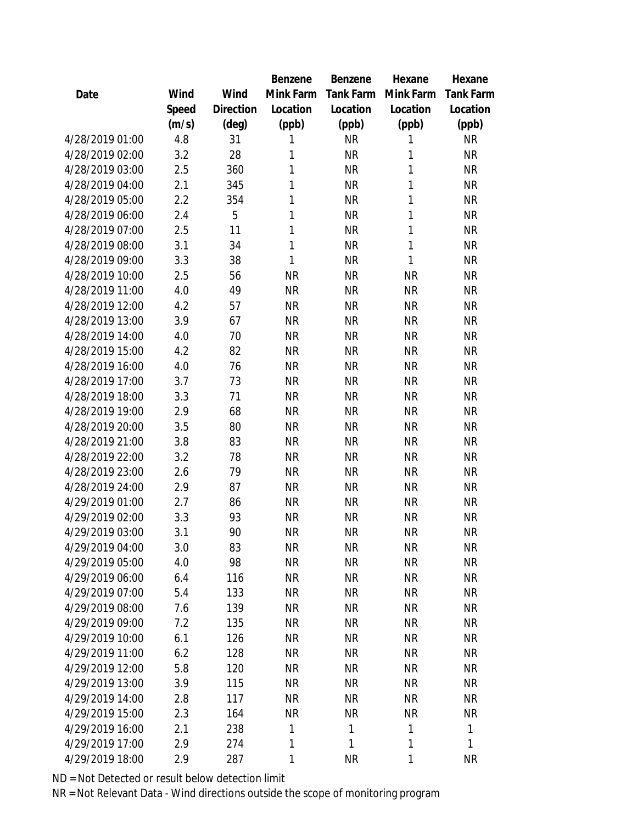|                 |       |                | Benzene      | Benzene   | Hexane    | Hexane       |
|-----------------|-------|----------------|--------------|-----------|-----------|--------------|
| Date            | Wind  | Wind           | Mink Farm    | Tank Farm | Mink Farm | Tank Farm    |
|                 | Speed | Direction      | Location     | Location  | Location  | Location     |
|                 | (m/s) | $(\text{deg})$ | (ppb)        | (ppb)     | (ppb)     | (ppb)        |
| 4/28/2019 01:00 | 4.8   | 31             | 1            | <b>NR</b> | 1         | <b>NR</b>    |
| 4/28/2019 02:00 | 3.2   | 28             | 1            | <b>NR</b> | 1         | <b>NR</b>    |
| 4/28/2019 03:00 | 2.5   | 360            | 1            | <b>NR</b> | 1         | <b>NR</b>    |
| 4/28/2019 04:00 | 2.1   | 345            | 1            | <b>NR</b> | 1         | <b>NR</b>    |
| 4/28/2019 05:00 | 2.2   | 354            | 1            | <b>NR</b> | 1         | <b>NR</b>    |
| 4/28/2019 06:00 | 2.4   | 5              | 1            | <b>NR</b> | 1         | <b>NR</b>    |
| 4/28/2019 07:00 | 2.5   | 11             | 1            | <b>NR</b> | 1         | <b>NR</b>    |
| 4/28/2019 08:00 | 3.1   | 34             | $\mathbf{1}$ | <b>NR</b> | 1         | <b>NR</b>    |
| 4/28/2019 09:00 | 3.3   | 38             | $\mathbf{1}$ | <b>NR</b> | 1         | <b>NR</b>    |
| 4/28/2019 10:00 | 2.5   | 56             | <b>NR</b>    | <b>NR</b> | <b>NR</b> | <b>NR</b>    |
| 4/28/2019 11:00 | 4.0   | 49             | <b>NR</b>    | <b>NR</b> | <b>NR</b> | <b>NR</b>    |
| 4/28/2019 12:00 | 4.2   | 57             | <b>NR</b>    | <b>NR</b> | <b>NR</b> | <b>NR</b>    |
| 4/28/2019 13:00 | 3.9   | 67             | <b>NR</b>    | <b>NR</b> | <b>NR</b> | <b>NR</b>    |
| 4/28/2019 14:00 | 4.0   | 70             | <b>NR</b>    | <b>NR</b> | <b>NR</b> | <b>NR</b>    |
| 4/28/2019 15:00 | 4.2   | 82             | <b>NR</b>    | <b>NR</b> | <b>NR</b> | <b>NR</b>    |
| 4/28/2019 16:00 | 4.0   | 76             | <b>NR</b>    | <b>NR</b> | <b>NR</b> | <b>NR</b>    |
| 4/28/2019 17:00 | 3.7   | 73             | <b>NR</b>    | <b>NR</b> | <b>NR</b> | <b>NR</b>    |
| 4/28/2019 18:00 | 3.3   | 71             | <b>NR</b>    | <b>NR</b> | <b>NR</b> | <b>NR</b>    |
| 4/28/2019 19:00 | 2.9   | 68             | <b>NR</b>    | <b>NR</b> | <b>NR</b> | <b>NR</b>    |
| 4/28/2019 20:00 | 3.5   | 80             | <b>NR</b>    | <b>NR</b> | <b>NR</b> | <b>NR</b>    |
| 4/28/2019 21:00 | 3.8   | 83             | <b>NR</b>    | <b>NR</b> | <b>NR</b> | <b>NR</b>    |
| 4/28/2019 22:00 | 3.2   | 78             | <b>NR</b>    | <b>NR</b> | <b>NR</b> | <b>NR</b>    |
| 4/28/2019 23:00 | 2.6   | 79             | <b>NR</b>    | <b>NR</b> | <b>NR</b> | <b>NR</b>    |
| 4/28/2019 24:00 | 2.9   | 87             | <b>NR</b>    | <b>NR</b> | <b>NR</b> | <b>NR</b>    |
| 4/29/2019 01:00 | 2.7   | 86             | <b>NR</b>    | <b>NR</b> | <b>NR</b> | <b>NR</b>    |
| 4/29/2019 02:00 | 3.3   | 93             | <b>NR</b>    | <b>NR</b> | <b>NR</b> | <b>NR</b>    |
| 4/29/2019 03:00 | 3.1   | 90             | <b>NR</b>    | <b>NR</b> | <b>NR</b> | <b>NR</b>    |
| 4/29/2019 04:00 | 3.0   | 83             | <b>NR</b>    | <b>NR</b> | <b>NR</b> | <b>NR</b>    |
| 4/29/2019 05:00 | 4.0   | 98             | <b>NR</b>    | <b>NR</b> | <b>NR</b> | <b>NR</b>    |
| 4/29/2019 06:00 | 6.4   | 116            | <b>NR</b>    | <b>NR</b> | <b>NR</b> | <b>NR</b>    |
| 4/29/2019 07:00 | 5.4   | 133            | <b>NR</b>    | <b>NR</b> | <b>NR</b> | <b>NR</b>    |
| 4/29/2019 08:00 | 7.6   | 139            | <b>NR</b>    | <b>NR</b> | <b>NR</b> | <b>NR</b>    |
| 4/29/2019 09:00 | 7.2   | 135            | <b>NR</b>    | NR        | <b>NR</b> | <b>NR</b>    |
| 4/29/2019 10:00 | 6.1   | 126            | <b>NR</b>    | <b>NR</b> | <b>NR</b> | <b>NR</b>    |
| 4/29/2019 11:00 | 6.2   | 128            | <b>NR</b>    | <b>NR</b> | <b>NR</b> | <b>NR</b>    |
| 4/29/2019 12:00 | 5.8   | 120            | <b>NR</b>    | <b>NR</b> | <b>NR</b> | <b>NR</b>    |
| 4/29/2019 13:00 | 3.9   | 115            | <b>NR</b>    | <b>NR</b> | <b>NR</b> | <b>NR</b>    |
| 4/29/2019 14:00 | 2.8   | 117            | <b>NR</b>    | <b>NR</b> | <b>NR</b> | <b>NR</b>    |
| 4/29/2019 15:00 | 2.3   | 164            | <b>NR</b>    | <b>NR</b> | <b>NR</b> | <b>NR</b>    |
| 4/29/2019 16:00 | 2.1   | 238            | 1            | 1         | 1         | $\mathbf{1}$ |
| 4/29/2019 17:00 | 2.9   | 274            | 1            | 1         | 1         | 1            |
| 4/29/2019 18:00 | 2.9   | 287            | 1            | <b>NR</b> | 1         | <b>NR</b>    |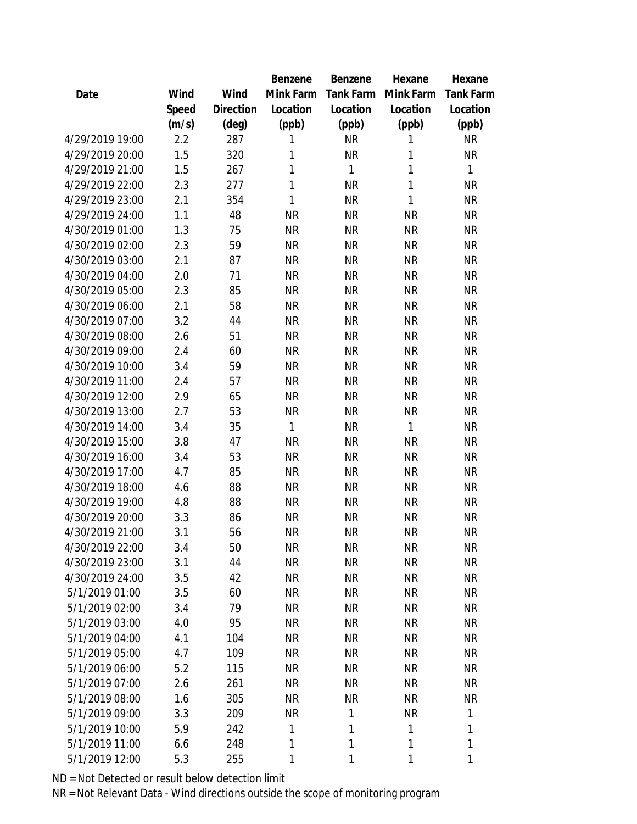|                 |       |                | Benzene      | Benzene   | Hexane    | Hexane      |
|-----------------|-------|----------------|--------------|-----------|-----------|-------------|
| Date            | Wind  | Wind           | Mink Farm    | Tank Farm | Mink Farm | Tank Farm   |
|                 | Speed | Direction      | Location     | Location  | Location  | Location    |
|                 | (m/s) | $(\text{deg})$ | (ppb)        | (ppb)     | (ppb)     | (ppb)       |
| 4/29/2019 19:00 | 2.2   | 287            | 1            | <b>NR</b> | 1         | <b>NR</b>   |
| 4/29/2019 20:00 | 1.5   | 320            | 1            | <b>NR</b> | 1         | <b>NR</b>   |
| 4/29/2019 21:00 | 1.5   | 267            | 1            | 1         | 1         | 1           |
| 4/29/2019 22:00 | 2.3   | 277            | $\mathbf{1}$ | <b>NR</b> | 1         | <b>NR</b>   |
| 4/29/2019 23:00 | 2.1   | 354            | 1            | <b>NR</b> | 1         | <b>NR</b>   |
| 4/29/2019 24:00 | 1.1   | 48             | <b>NR</b>    | <b>NR</b> | <b>NR</b> | <b>NR</b>   |
| 4/30/2019 01:00 | 1.3   | 75             | <b>NR</b>    | <b>NR</b> | <b>NR</b> | <b>NR</b>   |
| 4/30/2019 02:00 | 2.3   | 59             | <b>NR</b>    | <b>NR</b> | <b>NR</b> | <b>NR</b>   |
| 4/30/2019 03:00 | 2.1   | 87             | <b>NR</b>    | <b>NR</b> | <b>NR</b> | <b>NR</b>   |
| 4/30/2019 04:00 | 2.0   | 71             | <b>NR</b>    | <b>NR</b> | <b>NR</b> | <b>NR</b>   |
| 4/30/2019 05:00 | 2.3   | 85             | <b>NR</b>    | <b>NR</b> | <b>NR</b> | <b>NR</b>   |
| 4/30/2019 06:00 | 2.1   | 58             | <b>NR</b>    | <b>NR</b> | <b>NR</b> | <b>NR</b>   |
| 4/30/2019 07:00 | 3.2   | 44             | <b>NR</b>    | <b>NR</b> | <b>NR</b> | <b>NR</b>   |
| 4/30/2019 08:00 | 2.6   | 51             | <b>NR</b>    | <b>NR</b> | <b>NR</b> | <b>NR</b>   |
| 4/30/2019 09:00 | 2.4   | 60             | <b>NR</b>    | <b>NR</b> | <b>NR</b> | <b>NR</b>   |
| 4/30/2019 10:00 | 3.4   | 59             | <b>NR</b>    | <b>NR</b> | <b>NR</b> | <b>NR</b>   |
| 4/30/2019 11:00 | 2.4   | 57             | <b>NR</b>    | <b>NR</b> | <b>NR</b> | <b>NR</b>   |
| 4/30/2019 12:00 | 2.9   | 65             | <b>NR</b>    | <b>NR</b> | <b>NR</b> | <b>NR</b>   |
| 4/30/2019 13:00 | 2.7   | 53             | <b>NR</b>    | <b>NR</b> | ΝR        | <b>NR</b>   |
| 4/30/2019 14:00 | 3.4   | 35             | 1            | <b>NR</b> | 1         | <b>NR</b>   |
| 4/30/2019 15:00 | 3.8   | 47             | <b>NR</b>    | <b>NR</b> | <b>NR</b> | <b>NR</b>   |
| 4/30/2019 16:00 | 3.4   | 53             | <b>NR</b>    | <b>NR</b> | <b>NR</b> | <b>NR</b>   |
| 4/30/2019 17:00 | 4.7   | 85             | <b>NR</b>    | <b>NR</b> | <b>NR</b> | <b>NR</b>   |
| 4/30/2019 18:00 | 4.6   | 88             | <b>NR</b>    | <b>NR</b> | <b>NR</b> | <b>NR</b>   |
| 4/30/2019 19:00 | 4.8   | 88             | <b>NR</b>    | <b>NR</b> | <b>NR</b> | <b>NR</b>   |
| 4/30/2019 20:00 | 3.3   | 86             | <b>NR</b>    | <b>NR</b> | <b>NR</b> | <b>NR</b>   |
| 4/30/2019 21:00 | 3.1   | 56             | <b>NR</b>    | <b>NR</b> | <b>NR</b> | <b>NR</b>   |
| 4/30/2019 22:00 | 3.4   | 50             | <b>NR</b>    | <b>NR</b> | <b>NR</b> | <b>NR</b>   |
| 4/30/2019 23:00 | 3.1   | 44             | <b>NR</b>    | <b>NR</b> | <b>NR</b> | <b>NR</b>   |
| 4/30/2019 24:00 | 3.5   | 42             | <b>NR</b>    | <b>NR</b> | <b>NR</b> | <b>NR</b>   |
| 5/1/2019 01:00  | 3.5   | 60             | <b>NR</b>    | <b>NR</b> | <b>NR</b> | <b>NR</b>   |
| 5/1/2019 02:00  | 3.4   | 79             | <b>NR</b>    | NR        | <b>NR</b> | <b>NR</b>   |
| 5/1/2019 03:00  | 4.0   | 95             | <b>NR</b>    | NR        | <b>NR</b> | <b>NR</b>   |
| 5/1/2019 04:00  | 4.1   | 104            | <b>NR</b>    | <b>NR</b> | <b>NR</b> | <b>NR</b>   |
| 5/1/2019 05:00  | 4.7   | 109            | <b>NR</b>    | <b>NR</b> | <b>NR</b> | <b>NR</b>   |
| 5/1/2019 06:00  | 5.2   | 115            | <b>NR</b>    | <b>NR</b> | <b>NR</b> | <b>NR</b>   |
| 5/1/2019 07:00  | 2.6   | 261            | <b>NR</b>    | <b>NR</b> | <b>NR</b> | <b>NR</b>   |
| 5/1/2019 08:00  | 1.6   | 305            | <b>NR</b>    | <b>NR</b> | <b>NR</b> | <b>NR</b>   |
| 5/1/2019 09:00  | 3.3   | 209            | <b>NR</b>    | 1         | <b>NR</b> | 1           |
| 5/1/2019 10:00  | 5.9   | 242            | 1            | 1         | 1         | 1           |
| 5/1/2019 11:00  | 6.6   | 248            | 1            | 1         | 1         | $\mathbf 1$ |
| 5/1/2019 12:00  | 5.3   | 255            | 1            | 1         | 1         | 1           |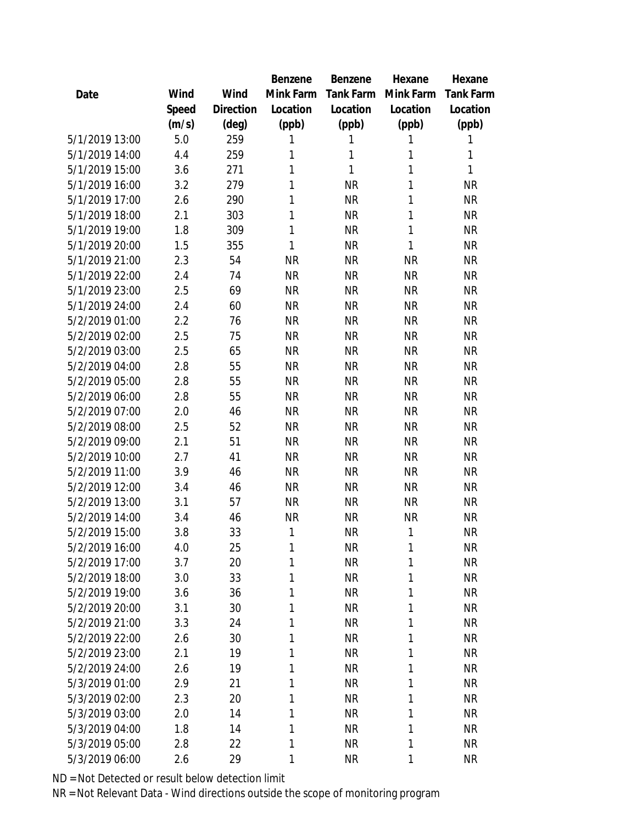|                |       |           | Benzene   | Benzene   | Hexane    | Hexane       |
|----------------|-------|-----------|-----------|-----------|-----------|--------------|
| Date           | Wind  | Wind      | Mink Farm | Tank Farm | Mink Farm | Tank Farm    |
|                | Speed | Direction | Location  | Location  | Location  | Location     |
|                | (m/s) | (deg)     | (ppb)     | (ppb)     | (ppb)     | (ppb)        |
| 5/1/2019 13:00 | 5.0   | 259       | 1         | 1         | 1         | 1            |
| 5/1/2019 14:00 | 4.4   | 259       | 1         | 1         | 1         | 1            |
| 5/1/2019 15:00 | 3.6   | 271       | 1         | 1         | 1         | $\mathbf{1}$ |
| 5/1/2019 16:00 | 3.2   | 279       | 1         | <b>NR</b> | 1         | <b>NR</b>    |
| 5/1/2019 17:00 | 2.6   | 290       | 1         | <b>NR</b> | 1         | <b>NR</b>    |
| 5/1/2019 18:00 | 2.1   | 303       | 1         | <b>NR</b> | 1         | <b>NR</b>    |
| 5/1/2019 19:00 | 1.8   | 309       | 1         | <b>NR</b> | 1         | <b>NR</b>    |
| 5/1/2019 20:00 | 1.5   | 355       | 1         | <b>NR</b> | 1         | <b>NR</b>    |
| 5/1/2019 21:00 | 2.3   | 54        | <b>NR</b> | <b>NR</b> | <b>NR</b> | <b>NR</b>    |
| 5/1/2019 22:00 | 2.4   | 74        | <b>NR</b> | <b>NR</b> | <b>NR</b> | <b>NR</b>    |
| 5/1/2019 23:00 | 2.5   | 69        | <b>NR</b> | <b>NR</b> | <b>NR</b> | <b>NR</b>    |
| 5/1/2019 24:00 | 2.4   | 60        | <b>NR</b> | <b>NR</b> | <b>NR</b> | <b>NR</b>    |
| 5/2/2019 01:00 | 2.2   | 76        | <b>NR</b> | <b>NR</b> | <b>NR</b> | <b>NR</b>    |
| 5/2/2019 02:00 | 2.5   | 75        | <b>NR</b> | <b>NR</b> | <b>NR</b> | <b>NR</b>    |
| 5/2/2019 03:00 | 2.5   | 65        | <b>NR</b> | <b>NR</b> | <b>NR</b> | <b>NR</b>    |
| 5/2/2019 04:00 | 2.8   | 55        | <b>NR</b> | <b>NR</b> | <b>NR</b> | <b>NR</b>    |
| 5/2/2019 05:00 | 2.8   | 55        | <b>NR</b> | <b>NR</b> | <b>NR</b> | <b>NR</b>    |
| 5/2/2019 06:00 | 2.8   | 55        | <b>NR</b> | <b>NR</b> | <b>NR</b> | <b>NR</b>    |
| 5/2/2019 07:00 | 2.0   | 46        | <b>NR</b> | <b>NR</b> | <b>NR</b> | <b>NR</b>    |
| 5/2/2019 08:00 | 2.5   | 52        | <b>NR</b> | <b>NR</b> | <b>NR</b> | <b>NR</b>    |
| 5/2/2019 09:00 | 2.1   | 51        | <b>NR</b> | <b>NR</b> | <b>NR</b> | <b>NR</b>    |
| 5/2/2019 10:00 | 2.7   | 41        | <b>NR</b> | <b>NR</b> | <b>NR</b> | <b>NR</b>    |
| 5/2/2019 11:00 | 3.9   | 46        | <b>NR</b> | <b>NR</b> | <b>NR</b> | <b>NR</b>    |
| 5/2/2019 12:00 | 3.4   | 46        | <b>NR</b> | <b>NR</b> | <b>NR</b> | <b>NR</b>    |
| 5/2/2019 13:00 | 3.1   | 57        | <b>NR</b> | <b>NR</b> | <b>NR</b> | <b>NR</b>    |
| 5/2/2019 14:00 | 3.4   | 46        | <b>NR</b> | <b>NR</b> | <b>NR</b> | <b>NR</b>    |
| 5/2/2019 15:00 | 3.8   | 33        | 1         | <b>NR</b> | 1         | <b>NR</b>    |
| 5/2/2019 16:00 | 4.0   | 25        | 1         | <b>NR</b> | 1         | <b>NR</b>    |
| 5/2/2019 17:00 | 3.7   | 20        | 1         | <b>NR</b> | 1         | <b>NR</b>    |
| 5/2/2019 18:00 | 3.0   | 33        | 1         | <b>NR</b> | 1         | <b>NR</b>    |
| 5/2/2019 19:00 | 3.6   | 36        | 1         | <b>NR</b> | 1         | <b>NR</b>    |
| 5/2/2019 20:00 | 3.1   | 30        | 1         | <b>NR</b> | 1         | <b>NR</b>    |
| 5/2/2019 21:00 | 3.3   | 24        | 1         | <b>NR</b> | 1         | <b>NR</b>    |
| 5/2/2019 22:00 | 2.6   | 30        | 1         | <b>NR</b> | 1         | <b>NR</b>    |
| 5/2/2019 23:00 | 2.1   | 19        | 1         | <b>NR</b> | 1         | <b>NR</b>    |
| 5/2/2019 24:00 | 2.6   | 19        | 1         | <b>NR</b> | 1         | <b>NR</b>    |
| 5/3/2019 01:00 | 2.9   | 21        | 1         | <b>NR</b> | 1         | <b>NR</b>    |
| 5/3/2019 02:00 | 2.3   | 20        | 1         | <b>NR</b> | 1         | <b>NR</b>    |
| 5/3/2019 03:00 | 2.0   | 14        | 1         | <b>NR</b> | 1         | <b>NR</b>    |
| 5/3/2019 04:00 | 1.8   | 14        | 1         | <b>NR</b> | 1         | <b>NR</b>    |
| 5/3/2019 05:00 | 2.8   | 22        | 1         | <b>NR</b> | 1         | <b>NR</b>    |
| 5/3/2019 06:00 | 2.6   | 29        | 1         | <b>NR</b> | 1         | <b>NR</b>    |
|                |       |           |           |           |           |              |